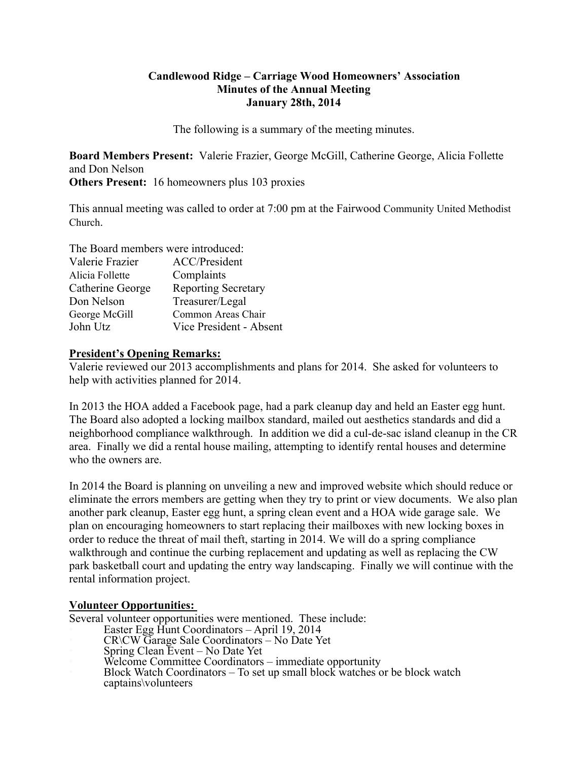#### **Candlewood Ridge – Carriage Wood Homeowners' Association Minutes of the Annual Meeting January 28th, 2014**

The following is a summary of the meeting minutes.

**Board Members Present:** Valerie Frazier, George McGill, Catherine George, Alicia Follette and Don Nelson **Others Present:** 16 homeowners plus 103 proxies

This annual meeting was called to order at 7:00 pm at the Fairwood Community United Methodist Church.

| The Board members were introduced: |                            |
|------------------------------------|----------------------------|
| Valerie Frazier                    | <b>ACC/President</b>       |
| Alicia Follette                    | Complaints                 |
| Catherine George                   | <b>Reporting Secretary</b> |
| Don Nelson                         | Treasurer/Legal            |
| George McGill                      | Common Areas Chair         |
| John Utz                           | Vice President - Absent    |

#### **President's Opening Remarks:**

Valerie reviewed our 2013 accomplishments and plans for 2014. She asked for volunteers to help with activities planned for 2014.

In 2013 the HOA added a Facebook page, had a park cleanup day and held an Easter egg hunt. The Board also adopted a locking mailbox standard, mailed out aesthetics standards and did a neighborhood compliance walkthrough. In addition we did a cul-de-sac island cleanup in the CR area. Finally we did a rental house mailing, attempting to identify rental houses and determine who the owners are.

In 2014 the Board is planning on unveiling a new and improved website which should reduce or eliminate the errors members are getting when they try to print or view documents. We also plan another park cleanup, Easter egg hunt, a spring clean event and a HOA wide garage sale. We plan on encouraging homeowners to start replacing their mailboxes with new locking boxes in order to reduce the threat of mail theft, starting in 2014. We will do a spring compliance walkthrough and continue the curbing replacement and updating as well as replacing the CW park basketball court and updating the entry way landscaping. Finally we will continue with the rental information project.

# **Volunteer Opportunities:**

Several volunteer opportunities were mentioned. These include:

- Easter Egg Hunt Coordinators April 19, 2014
- CR\CW Garage Sale Coordinators No Date Yet
- Spring Clean Event No Date Yet
	- Welcome Committee Coordinators immediate opportunity
	- Block Watch Coordinators To set up small block watches or be block watch captains\volunteers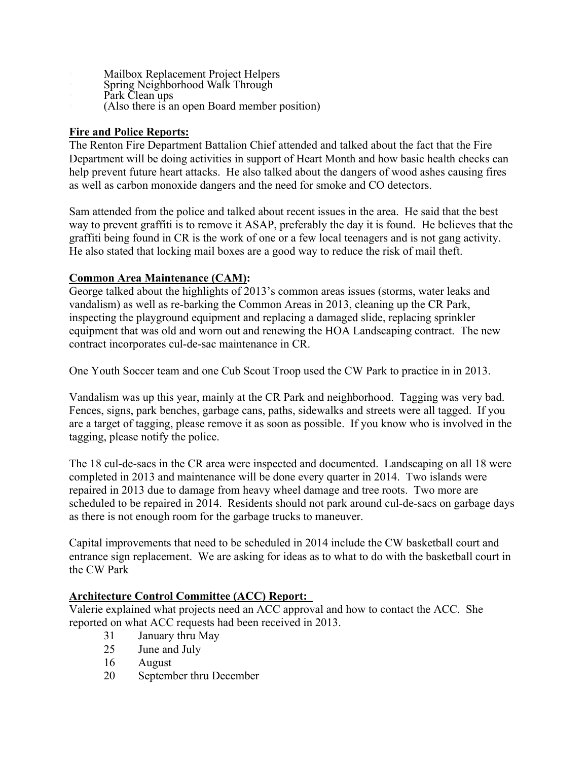- Mailbox Replacement Project Helpers
	- Spring Neighborhood Walk Through
- Park Clean ups
	- (Also there is an open Board member position)

# **Fire and Police Reports:**

The Renton Fire Department Battalion Chief attended and talked about the fact that the Fire Department will be doing activities in support of Heart Month and how basic health checks can help prevent future heart attacks. He also talked about the dangers of wood ashes causing fires as well as carbon monoxide dangers and the need for smoke and CO detectors.

Sam attended from the police and talked about recent issues in the area. He said that the best way to prevent graffiti is to remove it ASAP, preferably the day it is found. He believes that the graffiti being found in CR is the work of one or a few local teenagers and is not gang activity. He also stated that locking mail boxes are a good way to reduce the risk of mail theft.

# **Common Area Maintenance (CAM):**

George talked about the highlights of 2013's common areas issues (storms, water leaks and vandalism) as well as re-barking the Common Areas in 2013, cleaning up the CR Park, inspecting the playground equipment and replacing a damaged slide, replacing sprinkler equipment that was old and worn out and renewing the HOA Landscaping contract. The new contract incorporates cul-de-sac maintenance in CR.

One Youth Soccer team and one Cub Scout Troop used the CW Park to practice in in 2013.

Vandalism was up this year, mainly at the CR Park and neighborhood. Tagging was very bad. Fences, signs, park benches, garbage cans, paths, sidewalks and streets were all tagged. If you are a target of tagging, please remove it as soon as possible. If you know who is involved in the tagging, please notify the police.

The 18 cul-de-sacs in the CR area were inspected and documented. Landscaping on all 18 were completed in 2013 and maintenance will be done every quarter in 2014. Two islands were repaired in 2013 due to damage from heavy wheel damage and tree roots. Two more are scheduled to be repaired in 2014. Residents should not park around cul-de-sacs on garbage days as there is not enough room for the garbage trucks to maneuver.

Capital improvements that need to be scheduled in 2014 include the CW basketball court and entrance sign replacement. We are asking for ideas as to what to do with the basketball court in the CW Park

# **Architecture Control Committee (ACC) Report:**

Valerie explained what projects need an ACC approval and how to contact the ACC. She reported on what ACC requests had been received in 2013.

- 31 January thru May
- 25 June and July
- 16 August
- 20 September thru December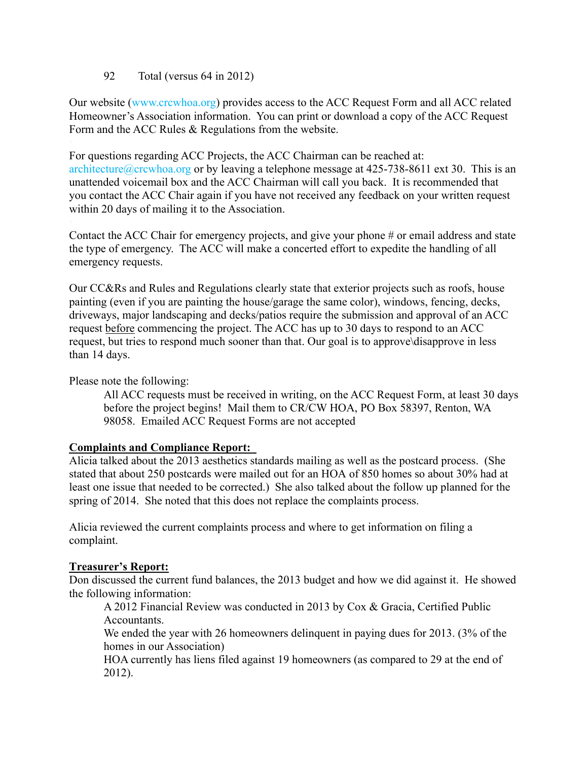#### 92 Total (versus 64 in 2012)

Our website (www.crcwhoa.org) provides access to the ACC Request Form and all ACC related Homeowner's Association information. You can print or download a copy of the ACC Request Form and the ACC Rules & Regulations from the website.

For questions regarding ACC Projects, the ACC Chairman can be reached at: architecture@crcwhoa.org or by leaving a telephone message at 425-738-8611 ext 30. This is an unattended voicemail box and the ACC Chairman will call you back. It is recommended that you contact the ACC Chair again if you have not received any feedback on your written request within 20 days of mailing it to the Association.

Contact the ACC Chair for emergency projects, and give your phone # or email address and state the type of emergency. The ACC will make a concerted effort to expedite the handling of all emergency requests.

Our CC&Rs and Rules and Regulations clearly state that exterior projects such as roofs, house painting (even if you are painting the house/garage the same color), windows, fencing, decks, driveways, major landscaping and decks/patios require the submission and approval of an ACC request before commencing the project. The ACC has up to 30 days to respond to an ACC request, but tries to respond much sooner than that. Our goal is to approve\disapprove in less than 14 days.

Please note the following:

All ACC requests must be received in writing, on the ACC Request Form, at least 30 days before the project begins! Mail them to CR/CW HOA, PO Box 58397, Renton, WA 98058. Emailed ACC Request Forms are not accepted

# **Complaints and Compliance Report:**

Alicia talked about the 2013 aesthetics standards mailing as well as the postcard process. (She stated that about 250 postcards were mailed out for an HOA of 850 homes so about 30% had at least one issue that needed to be corrected.) She also talked about the follow up planned for the spring of 2014. She noted that this does not replace the complaints process.

Alicia reviewed the current complaints process and where to get information on filing a complaint.

# **Treasurer's Report:**

Don discussed the current fund balances, the 2013 budget and how we did against it. He showed the following information:

A 2012 Financial Review was conducted in 2013 by Cox & Gracia, Certified Public Accountants.

We ended the year with 26 homeowners delinquent in paying dues for 2013. (3% of the homes in our Association)

HOA currently has liens filed against 19 homeowners (as compared to 29 at the end of 2012).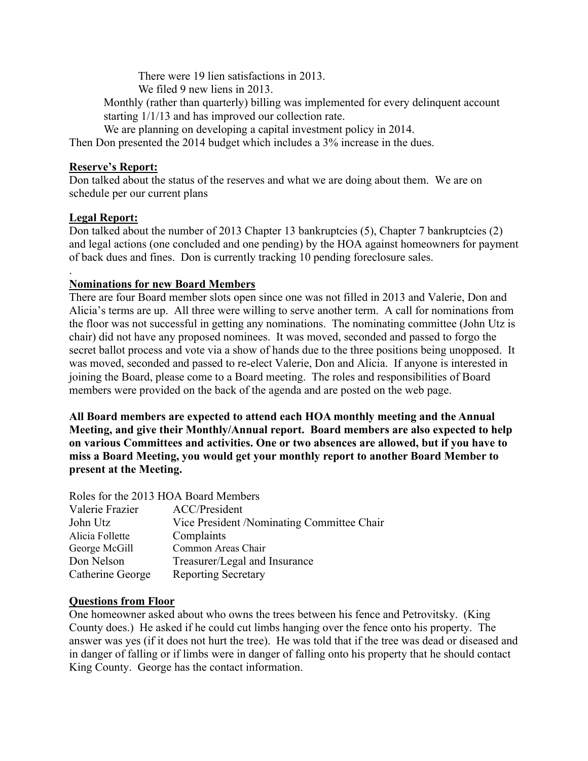There were 19 lien satisfactions in 2013.

We filed 9 new liens in 2013.

Monthly (rather than quarterly) billing was implemented for every delinquent account starting 1/1/13 and has improved our collection rate.

We are planning on developing a capital investment policy in 2014.

Then Don presented the 2014 budget which includes a 3% increase in the dues.

# **Reserve's Report:**

Don talked about the status of the reserves and what we are doing about them. We are on schedule per our current plans

# **Legal Report:**

Don talked about the number of 2013 Chapter 13 bankruptcies (5), Chapter 7 bankruptcies (2) and legal actions (one concluded and one pending) by the HOA against homeowners for payment of back dues and fines. Don is currently tracking 10 pending foreclosure sales.

#### . **Nominations for new Board Members**

There are four Board member slots open since one was not filled in 2013 and Valerie, Don and Alicia's terms are up. All three were willing to serve another term. A call for nominations from the floor was not successful in getting any nominations. The nominating committee (John Utz is chair) did not have any proposed nominees. It was moved, seconded and passed to forgo the secret ballot process and vote via a show of hands due to the three positions being unopposed. It was moved, seconded and passed to re-elect Valerie, Don and Alicia. If anyone is interested in joining the Board, please come to a Board meeting. The roles and responsibilities of Board members were provided on the back of the agenda and are posted on the web page.

**All Board members are expected to attend each HOA monthly meeting and the Annual Meeting, and give their Monthly/Annual report. Board members are also expected to help on various Committees and activities. One or two absences are allowed, but if you have to miss a Board Meeting, you would get your monthly report to another Board Member to present at the Meeting.**

#### Roles for the 2013 HOA Board Members

| Valerie Frazier  | ACC/President                               |
|------------------|---------------------------------------------|
| John Utz         | Vice President / Nominating Committee Chair |
| Alicia Follette  | Complaints                                  |
| George McGill    | Common Areas Chair                          |
| Don Nelson       | Treasurer/Legal and Insurance               |
| Catherine George | <b>Reporting Secretary</b>                  |

# **Questions from Floor**

One homeowner asked about who owns the trees between his fence and Petrovitsky. (King County does.) He asked if he could cut limbs hanging over the fence onto his property. The answer was yes (if it does not hurt the tree). He was told that if the tree was dead or diseased and in danger of falling or if limbs were in danger of falling onto his property that he should contact King County. George has the contact information.